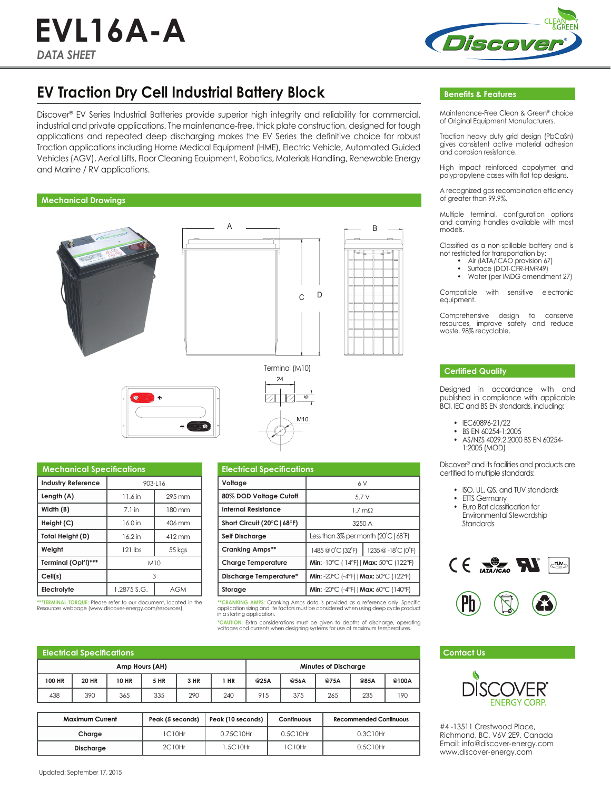# *DATA SHEET* **EVL16A-A**



# **EV Traction Dry Cell Industrial Battery Block**

Discover® EV Series Industrial Batteries provide superior high integrity and reliability for commercial, industrial and private applications. The maintenance-free, thick plate construction, designed for tough applications and repeated deep discharging makes the EV Series the definitive choice for robust Traction applications including Home Medical Equipment (HME), Electric Vehicle, Automated Guided Vehicles (AGV), Aerial Lifts, Floor Cleaning Equipment, Robotics, Materials Handling, Renewable Energy and Marine / RV applications.

## **Mechanical Drawings**







| <b>Mechanical Specifications</b> |             |        |  |  |  |  |
|----------------------------------|-------------|--------|--|--|--|--|
| <b>Industry Reference</b>        | $903 - 16$  |        |  |  |  |  |
| Length (A)                       | 11.6 in     | 295 mm |  |  |  |  |
| Width (B)                        | $7.1$ in    | 180 mm |  |  |  |  |
| Height (C)                       | 16.0 in     | 406 mm |  |  |  |  |
| Total Height (D)                 | 16.2 in     | 412 mm |  |  |  |  |
| Weight                           | $121$ lbs   | 55 kgs |  |  |  |  |
| Terminal (Opt'l)***              | M10         |        |  |  |  |  |
| Cell(s)                          | 3           |        |  |  |  |  |
| Electrolyte                      | 1.2875 S.G. | AGM    |  |  |  |  |

**\*\*\*TERMINAL TORQUE:** Please refer to our document, located in the Resources webpage (www.discover-energy.com/resources).

| <b>Electrical Specifications</b> |                                                            |                   |  |  |  |
|----------------------------------|------------------------------------------------------------|-------------------|--|--|--|
| Voltage                          | 6V                                                         |                   |  |  |  |
| 80% DOD Voltage Cutoff           | 5.7V                                                       |                   |  |  |  |
| Internal Resistance              | 1.7 <sub>mO</sub>                                          |                   |  |  |  |
| Short Circuit (20°C   68°F)      | 3250 A                                                     |                   |  |  |  |
| <b>Self Discharge</b>            | Less than $3\%$ per month $(20^{\circ}C \mid 68^{\circ}F)$ |                   |  |  |  |
| <b>Cranking Amps**</b>           | 1485 @ 0°C (32°F)                                          | 1235 @-18°C (0°F) |  |  |  |
| <b>Charge Temperature</b>        | Min: -10°C (14°F)   Max: 50°C (122°F)                      |                   |  |  |  |
| Discharge Temperature*           | Min: -20°C (-4°F)   Max: 50°C (122°F)                      |                   |  |  |  |
| Storage                          | Min: -20°C (-4°F)   Max: 60°C (140°F)                      |                   |  |  |  |
|                                  |                                                            |                   |  |  |  |

M10

**\*\*CRANKING AMP**S: Cranking Amps data is provided as a reference only. Specific<br>application sizing and life factors must be considered when using deep cycle product<br>in a starting application.

**\*CAUTION:** Extra considerations must be given to depths of discharge, operating voltages and currents when designing systems for use at maximum temperatures.

| Electrical Specifications |              |              |             |                             |      |      |      |      |      |       |
|---------------------------|--------------|--------------|-------------|-----------------------------|------|------|------|------|------|-------|
| Amp Hours (AH)            |              |              |             | <b>Minutes of Discharge</b> |      |      |      |      |      |       |
| 100 HR                    | <b>20 HR</b> | <b>10 HR</b> | <b>5 HR</b> | 3 HR                        | 1 HR | @25A | @56A | @75A | @85A | @100A |
| 438                       | 390          | 365          | 335         | 290                         | 240  | 915  | 375  | 265  | 235  | 190   |

| <b>Maximum Current</b> | Peak (5 seconds) | Peak (10 seconds) | Continuous | <b>Recommended Continuous</b> |
|------------------------|------------------|-------------------|------------|-------------------------------|
| Charge                 | 1C10Hr           | 0.75C10Hr         | 0.5C10Hr   | 0.3C10Hr                      |
| <b>Discharge</b>       | 2C10Hr           | 1.5C10Hr          | 1C10Hr     | 0.5C10Hr                      |

# **Benefits & Features**

Maintenance-Free Clean & Green® choice of Original Equipment Manufacturers.

Traction heavy duty grid design (PbCaSn) gives consistent active material adhesion and corrosion resistance.

High impact reinforced copolymer and polypropylene cases with flat top designs.

A recognized gas recombination efficiency of greater than 99.9%.

Multiple terminal, configuration options and carrying handles available with most models.

Classified as a non-spillable battery and is not restricted for transportation by:

- Air (IATA/ICAO provision 67)
- Surface (DOT-CFR-HMR49) • Water (per IMDG amendment 27)

Compatible with sensitive electronic equipment.

Comprehensive design to conserve resources, improve safety and reduce waste. 98% recyclable.

### **Certified Quality**

Designed in accordance with and published in compliance with applicable BCI, IEC and BS EN standards, including:

- IEC60896-21/22
- BS EN 60254-1:2005
- AS/NZS 4029.2.2000 BS EN 60254- 1:2005 (MOD)

Discover® and its facilities and products are certified to multiple standards:

- ISO, UL, QS, and TUV standards
- ETTS Germany
- Euro Bat classification for Environmental Stewardship Standards





### **Contact Us**



#4 -13511 Crestwood Place, Richmond, BC, V6V 2E9, Canada Email: info@discover-energy.com www.discover-energy.com